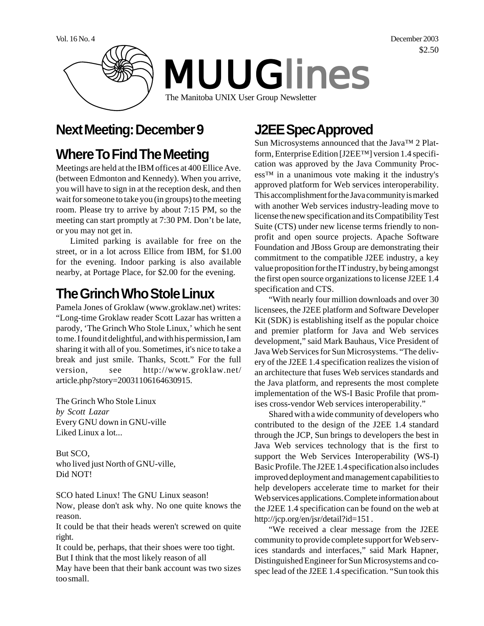

# **Next Meeting: December 9**

# **Where To Find The Meeting**

Meetings are held at the IBM offices at 400 Ellice Ave. (between Edmonton and Kennedy). When you arrive, you will have to sign in at the reception desk, and then wait for someone to take you (in groups) to the meeting room. Please try to arrive by about 7:15 PM, so the meeting can start promptly at 7:30 PM. Don't be late, or you may not get in.

Limited parking is available for free on the street, or in a lot across Ellice from IBM, for \$1.00 for the evening. Indoor parking is also available nearby, at Portage Place, for \$2.00 for the evening.

# **The Grinch Who Stole Linux**

Pamela Jones of Groklaw (www.groklaw.net) writes: "Long-time Groklaw reader Scott Lazar has written a parody, 'The Grinch Who Stole Linux,' which he sent to me. I found it delightful, and with his permission, I am sharing it with all of you. Sometimes, it's nice to take a break and just smile. Thanks, Scott." For the full version, see http://www.groklaw.net/ article.php?story=20031106164630915.

The Grinch Who Stole Linux *by Scott Lazar* Every GNU down in GNU-ville Liked Linux a lot...

But SCO, who lived just North of GNU-ville, Did NOT!

SCO hated Linux! The GNU Linux season!

Now, please don't ask why. No one quite knows the reason.

It could be that their heads weren't screwed on quite right.

It could be, perhaps, that their shoes were too tight. But I think that the most likely reason of all

May have been that their bank account was two sizes too small.

# **J2EE Spec Approved**

Sun Microsystems announced that the Java™ 2 Platform, Enterprise Edition [J2EE™] version 1.4 specification was approved by the Java Community Process™ in a unanimous vote making it the industry's approved platform for Web services interoperability. This accomplishment for the Java community is marked with another Web services industry-leading move to license the new specification and its Compatibility Test Suite (CTS) under new license terms friendly to nonprofit and open source projects. Apache Software Foundation and JBoss Group are demonstrating their commitment to the compatible J2EE industry, a key value proposition for the IT industry, by being amongst the first open source organizations to license J2EE 1.4 specification and CTS.

"With nearly four million downloads and over 30 licensees, the J2EE platform and Software Developer Kit (SDK) is establishing itself as the popular choice and premier platform for Java and Web services development," said Mark Bauhaus, Vice President of Java Web Services for Sun Microsystems. "The delivery of the J2EE 1.4 specification realizes the vision of an architecture that fuses Web services standards and the Java platform, and represents the most complete implementation of the WS-I Basic Profile that promises cross-vendor Web services interoperability."

Shared with a wide community of developers who contributed to the design of the J2EE 1.4 standard through the JCP, Sun brings to developers the best in Java Web services technology that is the first to support the Web Services Interoperability (WS-I) Basic Profile. The J2EE 1.4 specification also includes improved deployment and management capabilities to help developers accelerate time to market for their Web services applications. Complete information about the J2EE 1.4 specification can be found on the web at http://jcp.org/en/jsr/detail?id=151.

"We received a clear message from the J2EE community to provide complete support for Web services standards and interfaces," said Mark Hapner, Distinguished Engineer for Sun Microsystems and cospec lead of the J2EE 1.4 specification. "Sun took this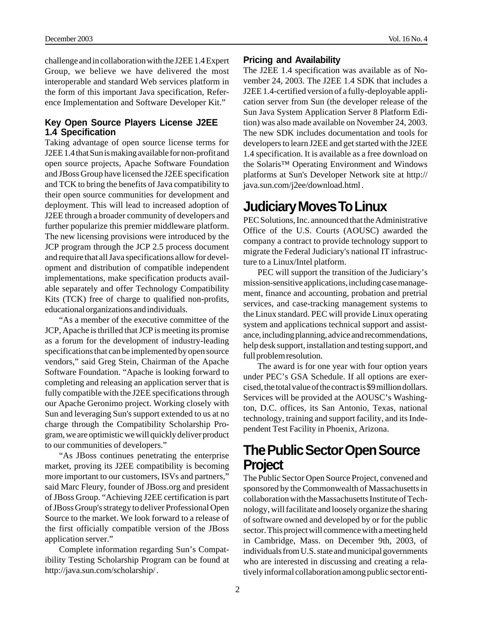challenge and in collaboration with the J2EE 1.4 Expert Group, we believe we have delivered the most interoperable and standard Web services platform in the form of this important Java specification, Reference Implementation and Software Developer Kit."

#### **Key Open Source Players License J2EE 1.4 Specification**

Taking advantage of open source license terms for J2EE 1.4 that Sun is making available for non-profit and open source projects, Apache Software Foundation and JBoss Group have licensed the J2EE specification and TCK to bring the benefits of Java compatibility to their open source communities for development and deployment. This will lead to increased adoption of J2EE through a broader community of developers and further popularize this premier middleware platform. The new licensing provisions were introduced by the JCP program through the JCP 2.5 process document and require that all Java specifications allow for development and distribution of compatible independent implementations, make specification products available separately and offer Technology Compatibility Kits (TCK) free of charge to qualified non-profits, educational organizations and individuals.

"As a member of the executive committee of the JCP, Apache is thrilled that JCP is meeting its promise as a forum for the development of industry-leading specifications that can be implemented by open source vendors," said Greg Stein, Chairman of the Apache Software Foundation. "Apache is looking forward to completing and releasing an application server that is fully compatible with the J2EE specifications through our Apache Geronimo project. Working closely with Sun and leveraging Sun's support extended to us at no charge through the Compatibility Scholarship Program, we are optimistic we will quickly deliver product to our communities of developers."

"As JBoss continues penetrating the enterprise market, proving its J2EE compatibility is becoming more important to our customers, ISVs and partners," said Marc Fleury, founder of JBoss.org and president of JBoss Group. "Achieving J2EE certification is part of JBoss Group's strategy to deliver Professional Open Source to the market. We look forward to a release of the first officially compatible version of the JBoss application server."

Complete information regarding Sun's Compatibility Testing Scholarship Program can be found at http://java.sun.com/scholarship/ .

#### **Pricing and Availability**

The J2EE 1.4 specification was available as of November 24, 2003. The J2EE 1.4 SDK that includes a J2EE 1.4-certified version of a fully-deployable application server from Sun (the developer release of the Sun Java System Application Server 8 Platform Edition) was also made available on November 24, 2003. The new SDK includes documentation and tools for developers to learn J2EE and get started with the J2EE 1.4 specification. It is available as a free download on the Solaris™ Operating Environment and Windows platforms at Sun's Developer Network site at http:// java.sun.com/j2ee/download.html .

# **Judiciary Moves To Linux**

PEC Solutions, Inc. announced that the Administrative Office of the U.S. Courts (AOUSC) awarded the company a contract to provide technology support to migrate the Federal Judiciary's national IT infrastructure to a Linux/Intel platform.

PEC will support the transition of the Judiciary's mission-sensitive applications, including case management, finance and accounting, probation and pretrial services, and case-tracking management systems to the Linux standard. PEC will provide Linux operating system and applications technical support and assistance, including planning, advice and recommendations, help desk support, installation and testing support, and full problem resolution.

The award is for one year with four option years under PEC's GSA Schedule. If all options are exercised, the total value of the contract is \$9 million dollars. Services will be provided at the AOUSC's Washington, D.C. offices, its San Antonio, Texas, national technology, training and support facility, and its Independent Test Facility in Phoenix, Arizona.

#### **The Public Sector Open Source Project**

The Public Sector Open Source Project, convened and sponsored by the Commonwealth of Massachusetts in collaboration with the Massachusetts Institute of Technology, will facilitate and loosely organize the sharing of software owned and developed by or for the public sector. This project will commence with a meeting held in Cambridge, Mass. on December 9th, 2003, of individuals from U.S. state and municipal governments who are interested in discussing and creating a relatively informal collaboration among public sector enti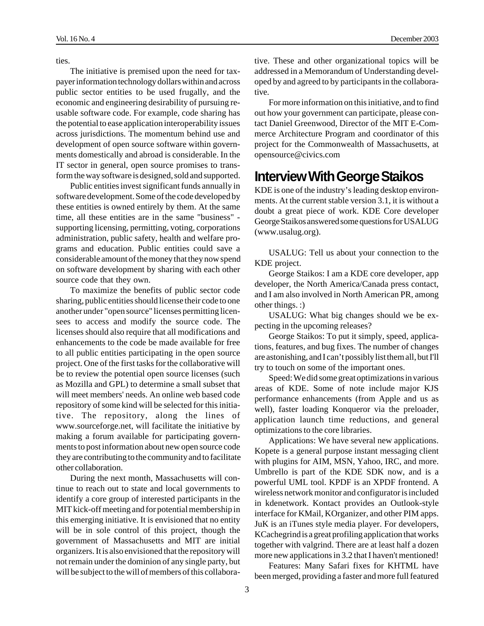ties.

The initiative is premised upon the need for taxpayer information technology dollars within and across public sector entities to be used frugally, and the economic and engineering desirability of pursuing reusable software code. For example, code sharing has the potential to ease application interoperability issues across jurisdictions. The momentum behind use and development of open source software within governments domestically and abroad is considerable. In the IT sector in general, open source promises to transform the way software is designed, sold and supported.

Public entities invest significant funds annually in software development. Some of the code developed by these entities is owned entirely by them. At the same time, all these entities are in the same "business" supporting licensing, permitting, voting, corporations administration, public safety, health and welfare programs and education. Public entities could save a considerable amount of the money that they now spend on software development by sharing with each other source code that they own.

To maximize the benefits of public sector code sharing, public entities should license their code to one another under "open source" licenses permitting licensees to access and modify the source code. The licenses should also require that all modifications and enhancements to the code be made available for free to all public entities participating in the open source project. One of the first tasks for the collaborative will be to review the potential open source licenses (such as Mozilla and GPL) to determine a small subset that will meet members' needs. An online web based code repository of some kind will be selected for this initiative. The repository, along the lines of www.sourceforge.net, will facilitate the initiative by making a forum available for participating governments to post information about new open source code they are contributing to the community and to facilitate other collaboration.

During the next month, Massachusetts will continue to reach out to state and local governments to identify a core group of interested participants in the MIT kick-off meeting and for potential membership in this emerging initiative. It is envisioned that no entity will be in sole control of this project, though the government of Massachusetts and MIT are initial organizers. It is also envisioned that the repository will not remain under the dominion of any single party, but will be subject to the will of members of this collabora-

tive. These and other organizational topics will be addressed in a Memorandum of Understanding developed by and agreed to by participants in the collaborative.

For more information on this initiative, and to find out how your government can participate, please contact Daniel Greenwood, Director of the MIT E-Commerce Architecture Program and coordinator of this project for the Commonwealth of Massachusetts, at opensource@civics.com

#### **Interview With George Staikos**

KDE is one of the industry's leading desktop environments. At the current stable version 3.1, it is without a doubt a great piece of work. KDE Core developer George Staikos answered some questions for USALUG (www.usalug.org).

USALUG: Tell us about your connection to the KDE project.

George Staikos: I am a KDE core developer, app developer, the North America/Canada press contact, and I am also involved in North American PR, among other things. :)

USALUG: What big changes should we be expecting in the upcoming releases?

George Staikos: To put it simply, speed, applications, features, and bug fixes. The number of changes are astonishing, and I can't possibly list them all, but I'll try to touch on some of the important ones.

Speed: We did some great optimizations in various areas of KDE. Some of note include major KJS performance enhancements (from Apple and us as well), faster loading Konqueror via the preloader, application launch time reductions, and general optimizations to the core libraries.

Applications: We have several new applications. Kopete is a general purpose instant messaging client with plugins for AIM, MSN, Yahoo, IRC, and more. Umbrello is part of the KDE SDK now, and is a powerful UML tool. KPDF is an XPDF frontend. A wireless network monitor and configurator is included in kdenetwork. Kontact provides an Outlook-style interface for KMail, KOrganizer, and other PIM apps. JuK is an iTunes style media player. For developers, KCachegrind is a great profiling application that works together with valgrind. There are at least half a dozen more new applications in 3.2 that I haven't mentioned!

Features: Many Safari fixes for KHTML have been merged, providing a faster and more full featured